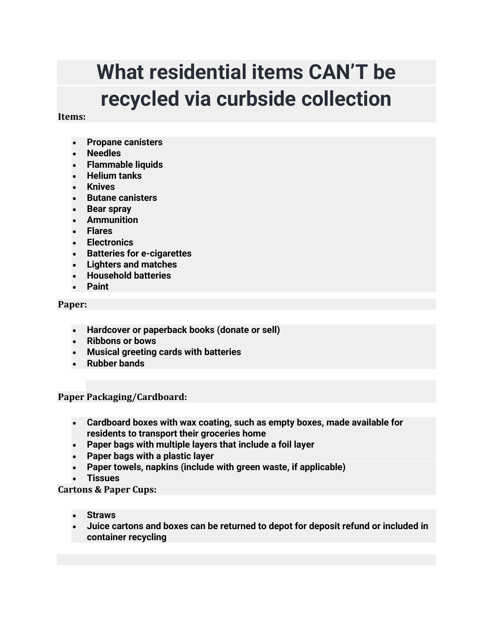# **What residential items CAN'T be recycled via curbside collection**

# **Items:**

- Propane canisters
- Needles
- Flammable liquids
- Helium tanks
- Knives
- Butane canisters
- Bear spray
- Ammunition
- Flares
- Electronics
- Batteries for e-cigarettes
- Lighters and matches
- Household batteries
- Paint

## **Paper:**

- Hardcover or paperback books (donate or sell)
- Ribbons or bows
- Musical greeting cards with batteries
- Rubber bands

**Paper Packaging/Cardboard:**

- Cardboard boxes with wax coating, such as empty boxes, made available for residents to transport their groceries home
- Paper bags with multiple layers that include a foil layer
- Paper bags with a plastic layer
- Paper towels, napkins (include with green waste, if applicable)
- **Tissues**

**Cartons & Paper Cups:**

- **Straws**
- Juice cartons and boxes can be returned to depot for deposit refund or included in container recycling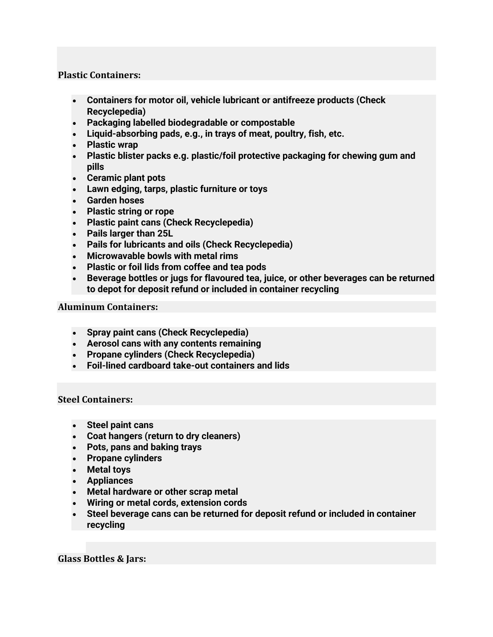# **Plastic Containers:**

- Containers for motor oil, vehicle lubricant or antifreeze products (Check Recyclepedia)
- Packaging labelled biodegradable or compostable
- Liquid-absorbing pads, e.g., in trays of meat, poultry, fish, etc.
- Plastic wrap
- Plastic blister packs e.g. plastic/foil protective packaging for chewing gum and pills
- Ceramic plant pots
- Lawn edging, tarps, plastic furniture or toys
- Garden hoses
- Plastic string or rope
- Plastic paint cans (Check Recyclepedia)
- Pails larger than 25L
- Pails for lubricants and oils (Check Recyclepedia)
- Microwavable bowls with metal rims
- Plastic or foil lids from coffee and tea pods
- Beverage bottles or jugs for flavoured tea, juice, or other beverages can be returned to depot for deposit refund or included in container recycling

#### **Aluminum Containers:**

- Spray paint cans (Check Recyclepedia)
- Aerosol cans with any contents remaining
- Propane cylinders (Check Recyclepedia)
- Foil-lined cardboard take-out containers and lids

**Steel Containers:**

- Steel paint cans
- Coat hangers (return to dry cleaners)
- Pots, pans and baking trays
- Propane cylinders
- Metal toys
- Appliances
- Metal hardware or other scrap metal
- Wiring or metal cords, extension cords
- Steel beverage cans can be returned for deposit refund or included in container recycling

**Glass Bottles & Jars:**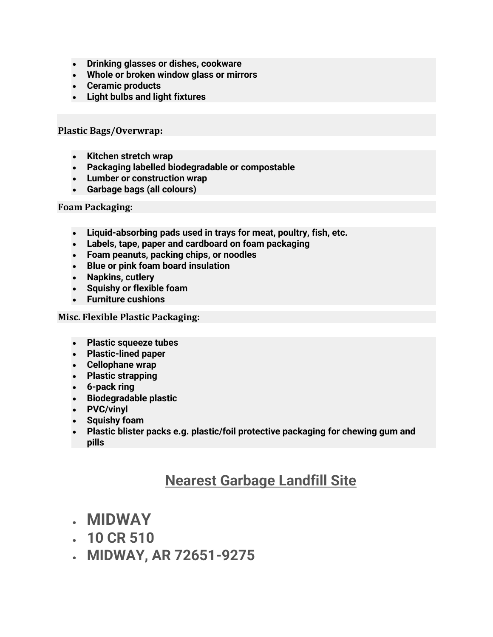- Drinking glasses or dishes, cookware
- Whole or broken window glass or mirrors
- Ceramic products
- Light bulbs and light fixtures

**Plastic Bags/Overwrap:**

- Kitchen stretch wrap
- Packaging labelled biodegradable or compostable
- Lumber or construction wrap
- Garbage bags (all colours)

## **Foam Packaging:**

- Liquid-absorbing pads used in trays for meat, poultry, fish, etc.
- Labels, tape, paper and cardboard on foam packaging
- Foam peanuts, packing chips, or noodles
- Blue or pink foam board insulation
- Napkins, cutlery
- Squishy or flexible foam
- Furniture cushions

# **Misc. Flexible Plastic Packaging:**

- Plastic squeeze tubes
- Plastic-lined paper
- Cellophane wrap
- Plastic strapping
- 6-pack ring
- Biodegradable plastic
- PVC/vinyl
- Squishy foam
- Plastic blister packs e.g. plastic/foil protective packaging for chewing gum and pills

# **Nearest Garbage Landfill Site**

- **MIDWAY**
- 10 CR 510
- MIDWAY, AR 72651-9275